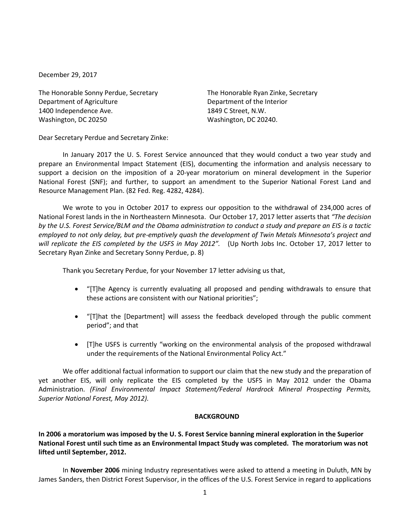December 29, 2017

The Honorable Sonny Perdue, Secretary The Honorable Ryan Zinke, Secretary Department of Agriculture Department of the Interior 1400 Independence Ave. 1849 C Street, N.W. Washington, DC 20250 Washington, DC 20240.

Dear Secretary Perdue and Secretary Zinke:

In January 2017 the U. S. Forest Service announced that they would conduct a two year study and prepare an Environmental Impact Statement (EIS), documenting the information and analysis necessary to support a decision on the imposition of a 20-year moratorium on mineral development in the Superior National Forest (SNF); and further, to support an amendment to the Superior National Forest Land and Resource Management Plan. (82 Fed. Reg. 4282, 4284).

We wrote to you in October 2017 to express our opposition to the withdrawal of 234,000 acres of National Forest lands in the in Northeastern Minnesota. Our October 17, 2017 letter asserts that *"The decision by the U.S. Forest Service/BLM and the Obama administration to conduct a study and prepare an EIS is a tactic employed to not only delay, but pre-emptively quash the development of Twin Metals Minnesota's project and will replicate the EIS completed by the USFS in May 2012".* (Up North Jobs Inc. October 17, 2017 letter to Secretary Ryan Zinke and Secretary Sonny Perdue, p. 8)

Thank you Secretary Perdue, for your November 17 letter advising us that,

- "[T]he Agency is currently evaluating all proposed and pending withdrawals to ensure that these actions are consistent with our National priorities";
- "[T]hat the [Department] will assess the feedback developed through the public comment period"; and that
- [T]he USFS is currently "working on the environmental analysis of the proposed withdrawal under the requirements of the National Environmental Policy Act."

We offer additional factual information to support our claim that the new study and the preparation of yet another EIS, will only replicate the EIS completed by the USFS in May 2012 under the Obama Administration. *(Final Environmental Impact Statement/Federal Hardrock Mineral Prospecting Permits, Superior National Forest, May 2012).*

### **BACKGROUND**

**In 2006 a moratorium was imposed by the U. S. Forest Service banning mineral exploration in the Superior National Forest until such time as an Environmental Impact Study was completed. The moratorium was not lifted until September, 2012.**

In **November 2006** mining Industry representatives were asked to attend a meeting in Duluth, MN by James Sanders, then District Forest Supervisor, in the offices of the U.S. Forest Service in regard to applications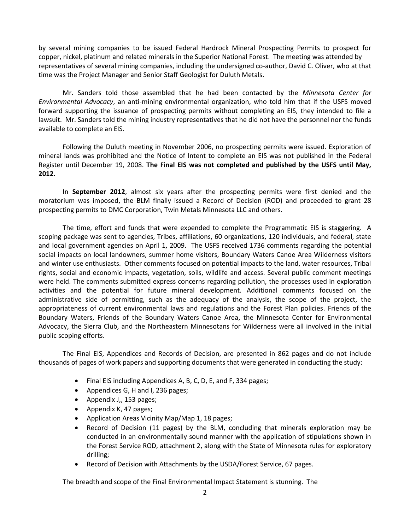by several mining companies to be issued Federal Hardrock Mineral Prospecting Permits to prospect for copper, nickel, platinum and related minerals in the Superior National Forest. The meeting was attended by representatives of several mining companies, including the undersigned co-author, David C. Oliver, who at that time was the Project Manager and Senior Staff Geologist for Duluth Metals.

Mr. Sanders told those assembled that he had been contacted by the *Minnesota Center for Environmental Advocacy*, an anti-mining environmental organization, who told him that if the USFS moved forward supporting the issuance of prospecting permits without completing an EIS, they intended to file a lawsuit. Mr. Sanders told the mining industry representatives that he did not have the personnel nor the funds available to complete an EIS.

Following the Duluth meeting in November 2006, no prospecting permits were issued. Exploration of mineral lands was prohibited and the Notice of Intent to complete an EIS was not published in the Federal Register until December 19, 2008. **The Final EIS was not completed and published by the USFS until May, 2012.**

In **September 2012**, almost six years after the prospecting permits were first denied and the moratorium was imposed, the BLM finally issued a Record of Decision (ROD) and proceeded to grant 28 prospecting permits to DMC Corporation, Twin Metals Minnesota LLC and others.

The time, effort and funds that were expended to complete the Programmatic EIS is staggering. A scoping package was sent to agencies, Tribes, affiliations, 60 organizations, 120 individuals, and federal, state and local government agencies on April 1, 2009. The USFS received 1736 comments regarding the potential social impacts on local landowners, summer home visitors, Boundary Waters Canoe Area Wilderness visitors and winter use enthusiasts. Other comments focused on potential impacts to the land, water resources, Tribal rights, social and economic impacts, vegetation, soils, wildlife and access. Several public comment meetings were held. The comments submitted express concerns regarding pollution, the processes used in exploration activities and the potential for future mineral development. Additional comments focused on the administrative side of permitting, such as the adequacy of the analysis, the scope of the project, the appropriateness of current environmental laws and regulations and the Forest Plan policies. Friends of the Boundary Waters, Friends of the Boundary Waters Canoe Area, the Minnesota Center for Environmental Advocacy, the Sierra Club, and the Northeastern Minnesotans for Wilderness were all involved in the initial public scoping efforts.

The Final EIS, Appendices and Records of Decision, are presented in 862 pages and do not include thousands of pages of work papers and supporting documents that were generated in conducting the study:

- Final EIS including Appendices A, B, C, D, E, and F, 334 pages;
- Appendices G, H and I, 236 pages;
- Appendix J,, 153 pages;
- Appendix K, 47 pages;
- Application Areas Vicinity Map/Map 1, 18 pages;
- Record of Decision (11 pages) by the BLM, concluding that minerals exploration may be conducted in an environmentally sound manner with the application of stipulations shown in the Forest Service ROD, attachment 2, along with the State of Minnesota rules for exploratory drilling;
- Record of Decision with Attachments by the USDA/Forest Service, 67 pages.

The breadth and scope of the Final Environmental Impact Statement is stunning. The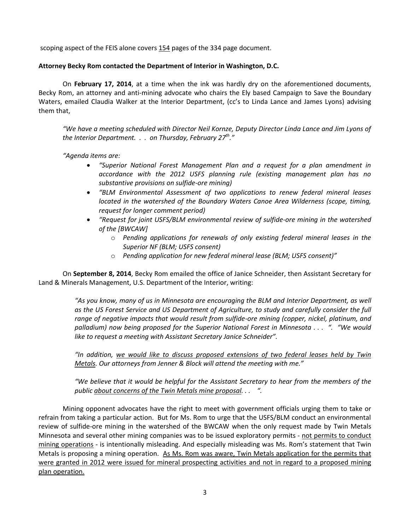scoping aspect of the FEIS alone covers 154 pages of the 334 page document.

## **Attorney Becky Rom contacted the Department of Interior in Washington, D.C.**

On **February 17, 2014**, at a time when the ink was hardly dry on the aforementioned documents, Becky Rom, an attorney and anti-mining advocate who chairs the Ely based Campaign to Save the Boundary Waters, emailed Claudia Walker at the Interior Department, (cc's to Linda Lance and James Lyons) advising them that,

*"We have a meeting scheduled with Director Neil Kornze, Deputy Director Linda Lance and Jim Lyons of the Interior Department. . . on Thursday, February 27th ."*

*"Agenda items are:*

- *"Superior National Forest Management Plan and a request for a plan amendment in accordance with the 2012 USFS planning rule (existing management plan has no substantive provisions on sulfide-ore mining)*
- *"BLM Environmental Assessment of two applications to renew federal mineral leases located in the watershed of the Boundary Waters Canoe Area Wilderness (scope, timing, request for longer comment period)*
- *"Request for joint USFS/BLM environmental review of sulfide-ore mining in the watershed of the [BWCAW]*
	- o *Pending applications for renewals of only existing federal mineral leases in the Superior NF (BLM; USFS consent)*
	- o *Pending application for new federal mineral lease (BLM; USFS consent)"*

On **September 8, 2014**, Becky Rom emailed the office of Janice Schneider, then Assistant Secretary for Land & Minerals Management, U.S. Department of the Interior, writing:

> *"As you know, many of us in Minnesota are encouraging the BLM and Interior Department, as well as the US Forest Service and US Department of Agriculture, to study and carefully consider the full range of negative impacts that would result from sulfide-ore mining (copper, nickel, platinum, and palladium) now being proposed for the Superior National Forest in Minnesota . . . ". "We would like to request a meeting with Assistant Secretary Janice Schneider".*

> *"In addition, we would like to discuss proposed extensions of two federal leases held by Twin Metals. Our attorneys from Jenner & Block will attend the meeting with me."*

> *"We believe that it would be helpful for the Assistant Secretary to hear from the members of the public about concerns of the Twin Metals mine proposal. . . ".*

Mining opponent advocates have the right to meet with government officials urging them to take or refrain from taking a particular action. But for Ms. Rom to urge that the USFS/BLM conduct an environmental review of sulfide-ore mining in the watershed of the BWCAW when the only request made by Twin Metals Minnesota and several other mining companies was to be issued exploratory permits - not permits to conduct mining operations - is intentionally misleading. And especially misleading was Ms. Rom's statement that Twin Metals is proposing a mining operation. As Ms. Rom was aware, Twin Metals application for the permits that were granted in 2012 were issued for mineral prospecting activities and not in regard to a proposed mining plan operation.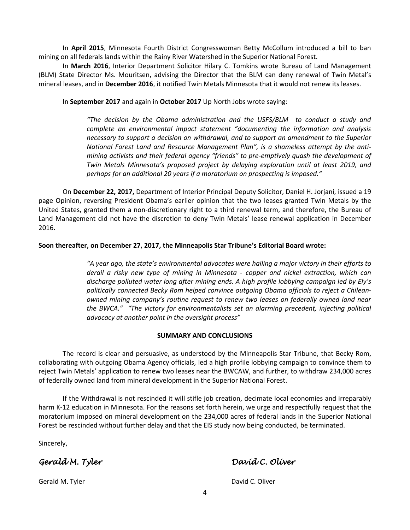In **April 2015**, Minnesota Fourth District Congresswoman Betty McCollum introduced a bill to ban mining on all federals lands within the Rainy River Watershed in the Superior National Forest.

In **March 2016**, Interior Department Solicitor Hilary C. Tomkins wrote Bureau of Land Management (BLM) State Director Ms. Mouritsen, advising the Director that the BLM can deny renewal of Twin Metal's mineral leases, and in **December 2016**, it notified Twin Metals Minnesota that it would not renew its leases.

In **September 2017** and again in **October 2017** Up North Jobs wrote saying:

*"The decision by the Obama administration and the USFS/BLM to conduct a study and complete an environmental impact statement "documenting the information and analysis necessary to support a decision on withdrawal, and to support an amendment to the Superior National Forest Land and Resource Management Plan", is a shameless attempt by the antimining activists and their federal agency "friends" to pre-emptively quash the development of Twin Metals Minnesota's proposed project by delaying exploration until at least 2019, and perhaps for an additional 20 years if a moratorium on prospecting is imposed."*

On **December 22, 2017,** Department of Interior Principal Deputy Solicitor, Daniel H. Jorjani, issued a 19 page Opinion, reversing President Obama's earlier opinion that the two leases granted Twin Metals by the United States, granted them a non-discretionary right to a third renewal term, and therefore, the Bureau of Land Management did not have the discretion to deny Twin Metals' lease renewal application in December 2016.

## **Soon thereafter, on December 27, 2017, the Minneapolis Star Tribune's Editorial Board wrote:**

*"A year ago, the state's environmental advocates were hailing a major victory in their efforts to derail a risky new type of mining in Minnesota - copper and nickel extraction, which can discharge polluted water long after mining ends. A high profile lobbying campaign led by Ely's politically connected Becky Rom helped convince outgoing Obama officials to reject a Chileanowned mining company's routine request to renew two leases on federally owned land near the BWCA." "The victory for environmentalists set an alarming precedent, injecting political advocacy at another point in the oversight process"*

### **SUMMARY AND CONCLUSIONS**

The record is clear and persuasive, as understood by the Minneapolis Star Tribune, that Becky Rom, collaborating with outgoing Obama Agency officials, led a high profile lobbying campaign to convince them to reject Twin Metals' application to renew two leases near the BWCAW, and further, to withdraw 234,000 acres of federally owned land from mineral development in the Superior National Forest.

If the Withdrawal is not rescinded it will stifle job creation, decimate local economies and irreparably harm K-12 education in Minnesota. For the reasons set forth herein, we urge and respectfully request that the moratorium imposed on mineral development on the 234,000 acres of federal lands in the Superior National Forest be rescinded without further delay and that the EIS study now being conducted, be terminated.

Sincerely,

*Gerald M. Tyler David C. Oliver* 

Gerald M. Tyler **David C. Oliver** David C. Oliver